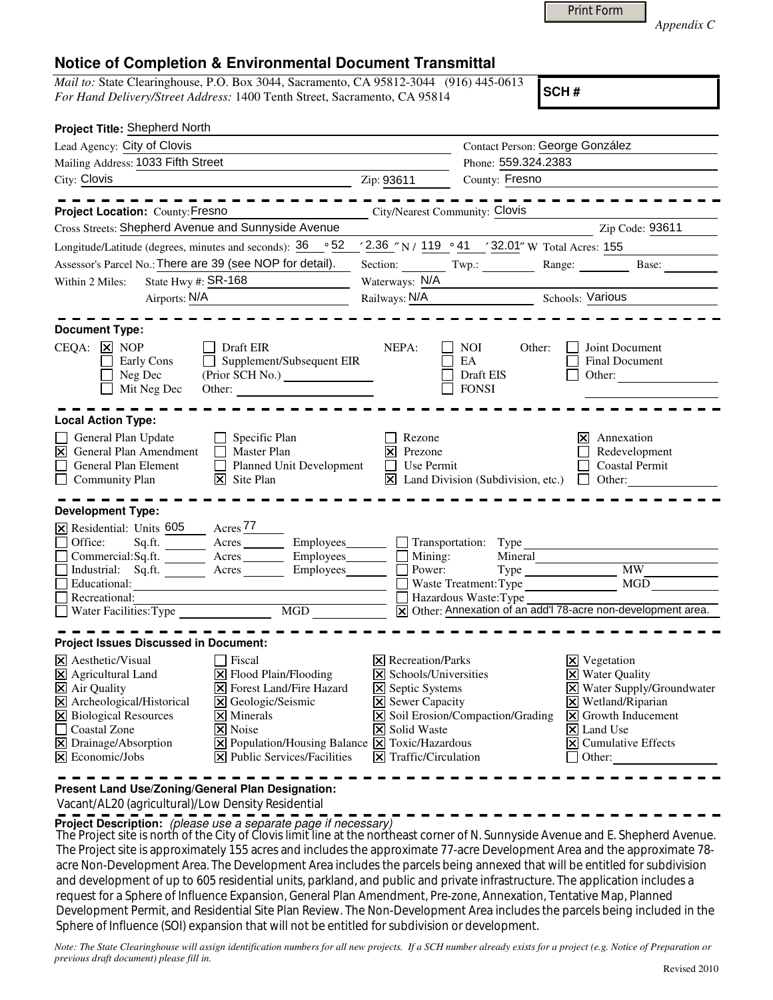|--|

*Appendix C* 

## **Notice of Completion & Environmental Document Transmittal**

*Mail to:* State Clearinghouse, P.O. Box 3044, Sacramento, CA 95812-3044 (916) 445-0613 *For Hand Delivery/Street Address:* 1400 Tenth Street, Sacramento, CA 95814

**SCH #**

| Project Title: Shepherd North                                                                                                                                                                                                                                                                                                                                                                                                                                                                               |                                                                                                                                                                         |                                                                                     |                                                                                                                                                                                                                                   |
|-------------------------------------------------------------------------------------------------------------------------------------------------------------------------------------------------------------------------------------------------------------------------------------------------------------------------------------------------------------------------------------------------------------------------------------------------------------------------------------------------------------|-------------------------------------------------------------------------------------------------------------------------------------------------------------------------|-------------------------------------------------------------------------------------|-----------------------------------------------------------------------------------------------------------------------------------------------------------------------------------------------------------------------------------|
| Lead Agency: City of Clovis                                                                                                                                                                                                                                                                                                                                                                                                                                                                                 |                                                                                                                                                                         | Contact Person: George González                                                     |                                                                                                                                                                                                                                   |
| Mailing Address: 1033 Fifth Street                                                                                                                                                                                                                                                                                                                                                                                                                                                                          |                                                                                                                                                                         | Phone: 559.324.2383                                                                 |                                                                                                                                                                                                                                   |
| City: Clovis                                                                                                                                                                                                                                                                                                                                                                                                                                                                                                | Zip: 93611                                                                                                                                                              | County: Fresno                                                                      |                                                                                                                                                                                                                                   |
|                                                                                                                                                                                                                                                                                                                                                                                                                                                                                                             |                                                                                                                                                                         |                                                                                     |                                                                                                                                                                                                                                   |
| Project Location: County: Fresno                                                                                                                                                                                                                                                                                                                                                                                                                                                                            | City/Nearest Community: Clovis                                                                                                                                          |                                                                                     |                                                                                                                                                                                                                                   |
| Cross Streets: Shepherd Avenue and Sunnyside Avenue                                                                                                                                                                                                                                                                                                                                                                                                                                                         |                                                                                                                                                                         |                                                                                     | Zip Code: 93611                                                                                                                                                                                                                   |
| $\,\circ\,52$<br>Longitude/Latitude (degrees, minutes and seconds): 36                                                                                                                                                                                                                                                                                                                                                                                                                                      |                                                                                                                                                                         | ' 2.36 "N / 119 . 41 ' 32.01" W Total Acres: 155                                    |                                                                                                                                                                                                                                   |
| Assessor's Parcel No.: There are 39 (see NOP for detail).                                                                                                                                                                                                                                                                                                                                                                                                                                                   |                                                                                                                                                                         | Section: Twp.: Range: Base:                                                         |                                                                                                                                                                                                                                   |
| State Hwy #: $SR-168$<br>Within 2 Miles:                                                                                                                                                                                                                                                                                                                                                                                                                                                                    | Waterways: N/A                                                                                                                                                          |                                                                                     |                                                                                                                                                                                                                                   |
| Airports: N/A                                                                                                                                                                                                                                                                                                                                                                                                                                                                                               | Railways: N/A                                                                                                                                                           |                                                                                     | Schools: Various                                                                                                                                                                                                                  |
| <b>Document Type:</b><br>$CEQA: \times NOP$<br>Draft EIR<br>Supplement/Subsequent EIR<br>Early Cons<br>$\perp$<br>(Prior SCH No.)<br>Neg Dec<br>Mit Neg Dec<br>Other:                                                                                                                                                                                                                                                                                                                                       | NEPA:                                                                                                                                                                   | NOI.<br>Other:<br>EA<br>Draft EIS<br><b>FONSI</b>                                   | Joint Document<br><b>Final Document</b><br>Other:                                                                                                                                                                                 |
| <b>Local Action Type:</b><br>Specific Plan<br>General Plan Update<br>$\boxtimes$<br>General Plan Amendment<br>Master Plan<br>Planned Unit Development<br>$\Box$<br>General Plan Element<br>$\mathsf{X}$ Site Plan<br><b>Community Plan</b>                                                                                                                                                                                                                                                                  | Rezone<br>⊠<br>Prezone<br>$\Box$ Use Permit                                                                                                                             | $\boxed{\mathbf{X}}$ Land Division (Subdivision, etc.) $\boxed{\phantom{a}}$ Other: | Annexation<br>lxl<br>Redevelopment<br><b>Coastal Permit</b>                                                                                                                                                                       |
| <b>Development Type:</b><br>Acres $77$<br>X Residential: Units 605<br>Acres Employees Transportation: Type<br>Office:<br>Sq.ft.<br>Commercial:Sq.ft. Acres Employees Mining:<br>Employees______<br>Industrial: Sq.ft.<br>Acres<br>Educational:<br>Recreational:                                                                                                                                                                                                                                             | Power:                                                                                                                                                                  | Mineral<br>Waste Treatment: Type<br>Hazardous Waste: Type                           | <b>MW</b><br>MGD<br>X Other: Annexation of an add'l 78-acre non-development area.                                                                                                                                                 |
| <b>Project Issues Discussed in Document:</b>                                                                                                                                                                                                                                                                                                                                                                                                                                                                |                                                                                                                                                                         |                                                                                     |                                                                                                                                                                                                                                   |
| $\times$ Aesthetic/Visual<br>Fiscal<br>X Agricultural Land<br>$\Xi$ Flood Plain/Flooding<br>X Air Quality<br><b>X</b> Forest Land/Fire Hazard<br>X Archeological/Historical<br>X Geologic/Seismic<br>X Biological Resources<br>$\times$ Minerals<br>$\Box$<br>Coastal Zone<br><b> × </b> Noise<br>$\Xi$ Drainage/Absorption<br>$\boxed{\mathsf{X}}$ Population/Housing Balance $\boxed{\mathsf{X}}$ Toxic/Hazardous<br>$ \mathbf{\overline{X}} $ Public Services/Facilities<br>$ \mathsf{X} $ Economic/Jobs | <b>X</b> Recreation/Parks<br>X Schools/Universities<br><b>X</b> Septic Systems<br><b>X</b> Sewer Capacity<br><b>X</b> Solid Waste<br>$ \mathsf{X} $ Traffic/Circulation | $\boxed{\mathsf{X}}$ Soil Erosion/Compaction/Grading                                | $\boxtimes$ Vegetation<br><b>X</b> Water Quality<br>X Water Supply/Groundwater<br>$\times$ Wetland/Riparian<br>$\vert\mathbf{X}\vert$ Growth Inducement<br>$ \mathsf{X} $ Land Use<br>$ \mathsf{x} $ Cumulative Effects<br>Other: |

**Present Land Use/Zoning/General Plan Designation:**

Vacant/AL20 (agricultural)/Low Density Residential

**Project Description:** (please use a separate page if necessary)

The Project site is north of the City of Clovis limit line at the northeast corner of N. Sunnyside Avenue and E. Shepherd Avenue.<br>The Project site is nonemplated a FE compared include the property at 77 cm. Proglamment Ave The Project site is approximately 155 acres and includes the approximate 77-acre Development Area and the approximate 78 acre Non-Development Area. The Development Area includes the parcels being annexed that will be entitled for subdivision and development of up to 605 residential units, parkland, and public and private infrastructure. The application includes a request for a Sphere of Influence Expansion, General Plan Amendment, Pre-zone, Annexation, Tentative Map, Planned Development Permit, and Residential Site Plan Review. The Non-Development Area includes the parcels being included in the Sphere of Influence (SOI) expansion that will not be entitled for subdivision or development.

*Note: The State Clearinghouse will assign identification numbers for all new projects. If a SCH number already exists for a project (e.g. Notice of Preparation or previous draft document) please fill in.*